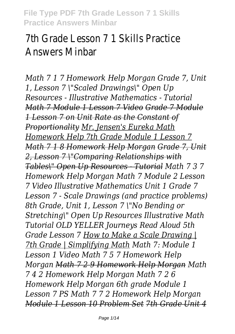# 7th Grade Lesson 7 1 Skills Practice Answers Minbar

*Math 7 1 7 Homework Help Morgan Grade 7, Unit 1, Lesson 7 \"Scaled Drawings\" Open Up Resources - Illustrative Mathematics - Tutorial Math 7 Module 1 Lesson 7 Video Grade 7 Module 1 Lesson 7 on Unit Rate as the Constant of Proportionality Mr. Jensen's Eureka Math Homework Help 7th Grade Module 1 Lesson 7 Math 7 1 8 Homework Help Morgan Grade 7, Unit 2, Lesson 7 \"Comparing Relationships with Tables\" Open Up Resources - Tutorial Math 7 3 7 Homework Help Morgan Math 7 Module 2 Lesson 7 Video Illustrative Mathematics Unit 1 Grade 7 Lesson 7 - Scale Drawings (and practice problems) 8th Grade, Unit 1, Lesson 7 \"No Bending or Stretching\" Open Up Resources Illustrative Math Tutorial OLD YELLER Journeys Read Aloud 5th Grade Lesson 7 How to Make a Scale Drawing | 7th Grade | Simplifying Math Math 7: Module 1 Lesson 1 Video Math 7 5 7 Homework Help Morgan Math 7 2 9 Homework Help Morgan Math 7 4 2 Homework Help Morgan Math 7 2 6 Homework Help Morgan 6th grade Module 1 Lesson 7 PS Math 7 7 2 Homework Help Morgan Module 1 Lesson 10 Problem Set 7th Grade Unit 4*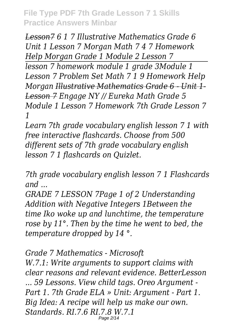*Lesson7 6 1 7 Illustrative Mathematics Grade 6 Unit 1 Lesson 7 Morgan Math 7 4 7 Homework Help Morgan Grade 1 Module 2 Lesson 7*

*lesson 7 homework module 1 grade 3Module 1 Lesson 7 Problem Set Math 7 1 9 Homework Help Morgan Illustrative Mathematics Grade 6 - Unit 1- Lesson 7 Engage NY // Eureka Math Grade 5 Module 1 Lesson 7 Homework 7th Grade Lesson 7 1*

*Learn 7th grade vocabulary english lesson 7 1 with free interactive flashcards. Choose from 500 different sets of 7th grade vocabulary english lesson 7 1 flashcards on Quizlet.*

*7th grade vocabulary english lesson 7 1 Flashcards and ...*

*GRADE 7 LESSON 7Page 1 of 2 Understanding Addition with Negative Integers 1Between the time Iko woke up and lunchtime, the temperature rose by 11°. Then by the time he went to bed, the temperature dropped by 14 °.*

*Grade 7 Mathematics - Microsoft W.7.1: Write arguments to support claims with clear reasons and relevant evidence. BetterLesson ... 59 Lessons. View child tags. Oreo Argument - Part 1. 7th Grade ELA » Unit: Argument - Part 1. Big Idea: A recipe will help us make our own. Standards. RI.7.6 RI.7.8 W.7.1* Page 2/14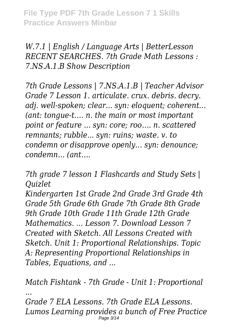*W.7.1 | English / Language Arts | BetterLesson RECENT SEARCHES. 7th Grade Math Lessons : 7.NS.A.1.B Show Description*

*7th Grade Lessons | 7.NS.A.1.B | Teacher Advisor Grade 7 Lesson 1. articulate. crux. debris. decry. adj. well-spoken; clear... syn: eloquent; coherent... (ant: tongue-t…. n. the main or most important point or feature ... syn: core; roo…. n. scattered remnants; rubble... syn: ruins; waste. v. to condemn or disapprove openly... syn: denounce; condemn... (ant….*

*7th grade 7 lesson 1 Flashcards and Study Sets | Quizlet*

*Kindergarten 1st Grade 2nd Grade 3rd Grade 4th Grade 5th Grade 6th Grade 7th Grade 8th Grade 9th Grade 10th Grade 11th Grade 12th Grade Mathematics. ... Lesson 7. Download Lesson 7 Created with Sketch. All Lessons Created with Sketch. Unit 1: Proportional Relationships. Topic A: Representing Proportional Relationships in Tables, Equations, and ...*

*Match Fishtank - 7th Grade - Unit 1: Proportional ... Grade 7 ELA Lessons. 7th Grade ELA Lessons. Lumos Learning provides a bunch of Free Practice* Page 3/14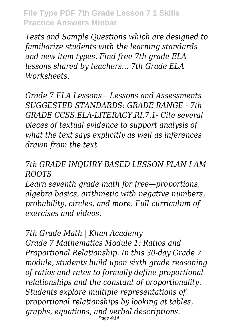*Tests and Sample Questions which are designed to familiarize students with the learning standards and new item types. Find free 7th grade ELA lessons shared by teachers… 7th Grade ELA Worksheets.*

*Grade 7 ELA Lessons – Lessons and Assessments SUGGESTED STANDARDS: GRADE RANGE - 7th GRADE CCSS.ELA-LITERACY.RI.7.1- Cite several pieces of textual evidence to support analysis of what the text says explicitly as well as inferences drawn from the text.*

#### *7th GRADE INQUIRY BASED LESSON PLAN I AM ROOTS*

*Learn seventh grade math for free—proportions, algebra basics, arithmetic with negative numbers, probability, circles, and more. Full curriculum of exercises and videos.*

*7th Grade Math | Khan Academy Grade 7 Mathematics Module 1: Ratios and Proportional Relationship. In this 30-day Grade 7 module, students build upon sixth grade reasoning of ratios and rates to formally define proportional relationships and the constant of proportionality. Students explore multiple representations of proportional relationships by looking at tables, graphs, equations, and verbal descriptions.* Page 4/14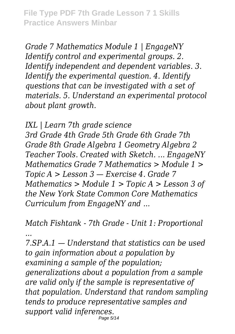*Grade 7 Mathematics Module 1 | EngageNY Identify control and experimental groups. 2. Identify independent and dependent variables. 3. Identify the experimental question. 4. Identify questions that can be investigated with a set of materials. 5. Understand an experimental protocol about plant growth.*

*IXL | Learn 7th grade science*

*3rd Grade 4th Grade 5th Grade 6th Grade 7th Grade 8th Grade Algebra 1 Geometry Algebra 2 Teacher Tools. Created with Sketch. ... EngageNY Mathematics Grade 7 Mathematics > Module 1 > Topic A > Lesson 3 — Exercise 4. Grade 7 Mathematics > Module 1 > Topic A > Lesson 3 of the New York State Common Core Mathematics Curriculum from EngageNY and ...*

*Match Fishtank - 7th Grade - Unit 1: Proportional*

*...*

*7.SP.A.1 — Understand that statistics can be used to gain information about a population by examining a sample of the population; generalizations about a population from a sample are valid only if the sample is representative of that population. Understand that random sampling tends to produce representative samples and support valid inferences.* Page 5/14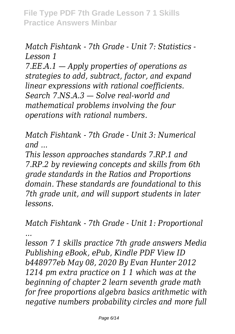# *Match Fishtank - 7th Grade - Unit 7: Statistics - Lesson 1*

*7.EE.A.1 — Apply properties of operations as strategies to add, subtract, factor, and expand linear expressions with rational coefficients. Search 7.NS.A.3 — Solve real-world and mathematical problems involving the four operations with rational numbers.*

*Match Fishtank - 7th Grade - Unit 3: Numerical and ...*

*This lesson approaches standards 7.RP.1 and 7.RP.2 by reviewing concepts and skills from 6th grade standards in the Ratios and Proportions domain. These standards are foundational to this 7th grade unit, and will support students in later lessons.*

*Match Fishtank - 7th Grade - Unit 1: Proportional ...*

*lesson 7 1 skills practice 7th grade answers Media Publishing eBook, ePub, Kindle PDF View ID b448977eb May 08, 2020 By Evan Hunter 2012 1214 pm extra practice on 1 1 which was at the beginning of chapter 2 learn seventh grade math for free proportions algebra basics arithmetic with negative numbers probability circles and more full*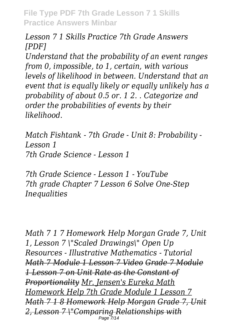*Lesson 7 1 Skills Practice 7th Grade Answers [PDF]*

*Understand that the probability of an event ranges from 0, impossible, to 1, certain, with various levels of likelihood in between. Understand that an event that is equally likely or equally unlikely has a probability of about 0.5 or. 1 2. . Categorize and order the probabilities of events by their likelihood.*

*Match Fishtank - 7th Grade - Unit 8: Probability - Lesson 1 7th Grade Science - Lesson 1*

*7th Grade Science - Lesson 1 - YouTube 7th grade Chapter 7 Lesson 6 Solve One-Step Inequalities*

*Math 7 1 7 Homework Help Morgan Grade 7, Unit 1, Lesson 7 \"Scaled Drawings\" Open Up Resources - Illustrative Mathematics - Tutorial Math 7 Module 1 Lesson 7 Video Grade 7 Module 1 Lesson 7 on Unit Rate as the Constant of Proportionality Mr. Jensen's Eureka Math Homework Help 7th Grade Module 1 Lesson 7 Math 7 1 8 Homework Help Morgan Grade 7, Unit 2, Lesson 7 \"Comparing Relationships with* Page 7/14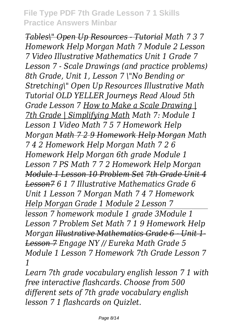*Tables\" Open Up Resources - Tutorial Math 7 3 7 Homework Help Morgan Math 7 Module 2 Lesson 7 Video Illustrative Mathematics Unit 1 Grade 7 Lesson 7 - Scale Drawings (and practice problems) 8th Grade, Unit 1, Lesson 7 \"No Bending or Stretching\" Open Up Resources Illustrative Math Tutorial OLD YELLER Journeys Read Aloud 5th Grade Lesson 7 How to Make a Scale Drawing | 7th Grade | Simplifying Math Math 7: Module 1 Lesson 1 Video Math 7 5 7 Homework Help Morgan Math 7 2 9 Homework Help Morgan Math 7 4 2 Homework Help Morgan Math 7 2 6 Homework Help Morgan 6th grade Module 1 Lesson 7 PS Math 7 7 2 Homework Help Morgan Module 1 Lesson 10 Problem Set 7th Grade Unit 4 Lesson7 6 1 7 Illustrative Mathematics Grade 6 Unit 1 Lesson 7 Morgan Math 7 4 7 Homework Help Morgan Grade 1 Module 2 Lesson 7 lesson 7 homework module 1 grade 3Module 1 Lesson 7 Problem Set Math 7 1 9 Homework Help Morgan Illustrative Mathematics Grade 6 - Unit 1- Lesson 7 Engage NY // Eureka Math Grade 5 Module 1 Lesson 7 Homework 7th Grade Lesson 7 1*

*Learn 7th grade vocabulary english lesson 7 1 with free interactive flashcards. Choose from 500 different sets of 7th grade vocabulary english lesson 7 1 flashcards on Quizlet.*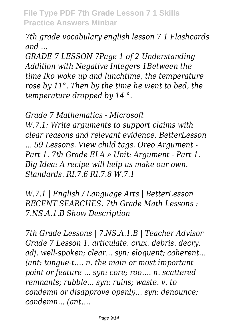*7th grade vocabulary english lesson 7 1 Flashcards and ...*

*GRADE 7 LESSON 7Page 1 of 2 Understanding Addition with Negative Integers 1Between the time Iko woke up and lunchtime, the temperature rose by 11°. Then by the time he went to bed, the temperature dropped by 14 °.*

*Grade 7 Mathematics - Microsoft W.7.1: Write arguments to support claims with clear reasons and relevant evidence. BetterLesson ... 59 Lessons. View child tags. Oreo Argument - Part 1. 7th Grade ELA » Unit: Argument - Part 1. Big Idea: A recipe will help us make our own. Standards. RI.7.6 RI.7.8 W.7.1*

*W.7.1 | English / Language Arts | BetterLesson RECENT SEARCHES. 7th Grade Math Lessons : 7.NS.A.1.B Show Description*

*7th Grade Lessons | 7.NS.A.1.B | Teacher Advisor Grade 7 Lesson 1. articulate. crux. debris. decry. adj. well-spoken; clear... syn: eloquent; coherent... (ant: tongue-t…. n. the main or most important point or feature ... syn: core; roo…. n. scattered remnants; rubble... syn: ruins; waste. v. to condemn or disapprove openly... syn: denounce; condemn... (ant….*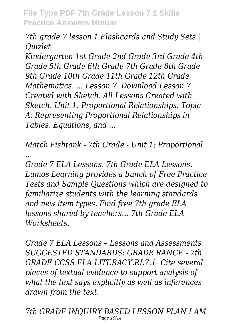*7th grade 7 lesson 1 Flashcards and Study Sets | Quizlet*

*Kindergarten 1st Grade 2nd Grade 3rd Grade 4th Grade 5th Grade 6th Grade 7th Grade 8th Grade 9th Grade 10th Grade 11th Grade 12th Grade Mathematics. ... Lesson 7. Download Lesson 7 Created with Sketch. All Lessons Created with Sketch. Unit 1: Proportional Relationships. Topic A: Representing Proportional Relationships in Tables, Equations, and ...*

*Match Fishtank - 7th Grade - Unit 1: Proportional ...*

*Grade 7 ELA Lessons. 7th Grade ELA Lessons. Lumos Learning provides a bunch of Free Practice Tests and Sample Questions which are designed to familiarize students with the learning standards and new item types. Find free 7th grade ELA lessons shared by teachers… 7th Grade ELA Worksheets.*

*Grade 7 ELA Lessons – Lessons and Assessments SUGGESTED STANDARDS: GRADE RANGE - 7th GRADE CCSS.ELA-LITERACY.RI.7.1- Cite several pieces of textual evidence to support analysis of what the text says explicitly as well as inferences drawn from the text.*

*7th GRADE INQUIRY BASED LESSON PLAN I AM* Page 10/14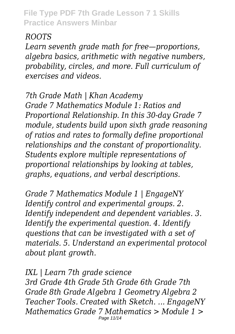# *ROOTS*

*Learn seventh grade math for free—proportions, algebra basics, arithmetic with negative numbers, probability, circles, and more. Full curriculum of exercises and videos.*

*7th Grade Math | Khan Academy Grade 7 Mathematics Module 1: Ratios and Proportional Relationship. In this 30-day Grade 7 module, students build upon sixth grade reasoning of ratios and rates to formally define proportional relationships and the constant of proportionality. Students explore multiple representations of proportional relationships by looking at tables, graphs, equations, and verbal descriptions.*

*Grade 7 Mathematics Module 1 | EngageNY Identify control and experimental groups. 2. Identify independent and dependent variables. 3. Identify the experimental question. 4. Identify questions that can be investigated with a set of materials. 5. Understand an experimental protocol about plant growth.*

*IXL | Learn 7th grade science 3rd Grade 4th Grade 5th Grade 6th Grade 7th Grade 8th Grade Algebra 1 Geometry Algebra 2 Teacher Tools. Created with Sketch. ... EngageNY Mathematics Grade 7 Mathematics > Module 1 >* Page 11/14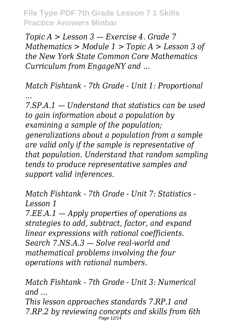*Topic A > Lesson 3 — Exercise 4. Grade 7 Mathematics > Module 1 > Topic A > Lesson 3 of the New York State Common Core Mathematics Curriculum from EngageNY and ...*

*Match Fishtank - 7th Grade - Unit 1: Proportional ...*

*7.SP.A.1 — Understand that statistics can be used to gain information about a population by examining a sample of the population; generalizations about a population from a sample are valid only if the sample is representative of that population. Understand that random sampling tends to produce representative samples and support valid inferences.*

*Match Fishtank - 7th Grade - Unit 7: Statistics - Lesson 1*

*7.EE.A.1 — Apply properties of operations as strategies to add, subtract, factor, and expand linear expressions with rational coefficients. Search 7.NS.A.3 — Solve real-world and mathematical problems involving the four operations with rational numbers.*

*Match Fishtank - 7th Grade - Unit 3: Numerical and ...*

*This lesson approaches standards 7.RP.1 and 7.RP.2 by reviewing concepts and skills from 6th* Page 12/14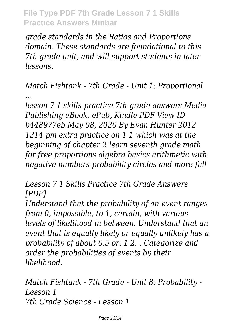*grade standards in the Ratios and Proportions domain. These standards are foundational to this 7th grade unit, and will support students in later lessons.*

*Match Fishtank - 7th Grade - Unit 1: Proportional ...*

*lesson 7 1 skills practice 7th grade answers Media Publishing eBook, ePub, Kindle PDF View ID b448977eb May 08, 2020 By Evan Hunter 2012 1214 pm extra practice on 1 1 which was at the beginning of chapter 2 learn seventh grade math for free proportions algebra basics arithmetic with negative numbers probability circles and more full*

*Lesson 7 1 Skills Practice 7th Grade Answers [PDF]*

*Understand that the probability of an event ranges from 0, impossible, to 1, certain, with various levels of likelihood in between. Understand that an event that is equally likely or equally unlikely has a probability of about 0.5 or. 1 2. . Categorize and order the probabilities of events by their likelihood.*

*Match Fishtank - 7th Grade - Unit 8: Probability - Lesson 1 7th Grade Science - Lesson 1*